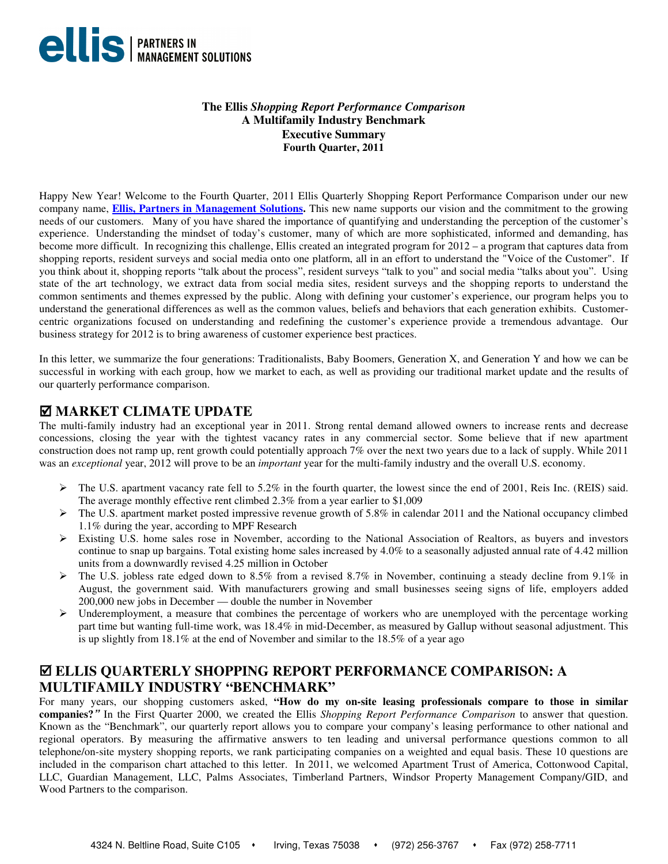

## **The Ellis** *Shopping Report Performance Comparison*  **A Multifamily Industry Benchmark Executive Summary Fourth Quarter, 2011**

Happy New Year! Welcome to the Fourth Quarter, 2011 Ellis Quarterly Shopping Report Performance Comparison under our new company name, **Ellis, Partners in Management Solutions.** This new name supports our vision and the commitment to the growing needs of our customers. Many of you have shared the importance of quantifying and understanding the perception of the customer's experience. Understanding the mindset of today's customer, many of which are more sophisticated, informed and demanding, has become more difficult. In recognizing this challenge, Ellis created an integrated program for 2012 – a program that captures data from shopping reports, resident surveys and social media onto one platform, all in an effort to understand the "Voice of the Customer". If you think about it, shopping reports "talk about the process", resident surveys "talk to you" and social media "talks about you". Using state of the art technology, we extract data from social media sites, resident surveys and the shopping reports to understand the common sentiments and themes expressed by the public. Along with defining your customer's experience, our program helps you to understand the generational differences as well as the common values, beliefs and behaviors that each generation exhibits. Customercentric organizations focused on understanding and redefining the customer's experience provide a tremendous advantage. Our business strategy for 2012 is to bring awareness of customer experience best practices.

In this letter, we summarize the four generations: Traditionalists, Baby Boomers, Generation X, and Generation Y and how we can be successful in working with each group, how we market to each, as well as providing our traditional market update and the results of our quarterly performance comparison.

## **MARKET CLIMATE UPDATE**

The multi-family industry had an exceptional year in 2011. Strong rental demand allowed owners to increase rents and decrease concessions, closing the year with the tightest vacancy rates in any commercial sector. Some believe that if new apartment construction does not ramp up, rent growth could potentially approach 7% over the next two years due to a lack of supply. While 2011 was an *exceptional* year, 2012 will prove to be an *important* year for the multi-family industry and the overall U.S. economy.

- $\triangleright$  The U.S. apartment vacancy rate fell to 5.2% in the fourth quarter, the lowest since the end of 2001, Reis Inc. (REIS) said. The average monthly effective rent climbed 2.3% from a year earlier to \$1,009
- $\triangleright$  The U.S. apartment market posted impressive revenue growth of 5.8% in calendar 2011 and the National occupancy climbed 1.1% during the year, according to MPF Research
- Existing U.S. home sales rose in November, according to the National Association of Realtors, as buyers and investors continue to snap up bargains. Total existing home sales increased by 4.0% to a seasonally adjusted annual rate of 4.42 million units from a downwardly revised 4.25 million in October
- $\triangleright$  The U.S. jobless rate edged down to 8.5% from a revised 8.7% in November, continuing a steady decline from 9.1% in August, the government said. With manufacturers growing and small businesses seeing signs of life, employers added 200,000 new jobs in December — double the number in November
- Underemployment, a measure that combines the percentage of workers who are unemployed with the percentage working part time but wanting full-time work, was 18.4% in mid-December, as measured by Gallup without seasonal adjustment. This is up slightly from 18.1% at the end of November and similar to the 18.5% of a year ago

# **ELLIS QUARTERLY SHOPPING REPORT PERFORMANCE COMPARISON: A MULTIFAMILY INDUSTRY "BENCHMARK"**

For many years, our shopping customers asked, **"How do my on-site leasing professionals compare to those in similar companies?"** In the First Quarter 2000, we created the Ellis *Shopping Report Performance Comparison* to answer that question. Known as the "Benchmark", our quarterly report allows you to compare your company's leasing performance to other national and regional operators. By measuring the affirmative answers to ten leading and universal performance questions common to all telephone/on-site mystery shopping reports, we rank participating companies on a weighted and equal basis. These 10 questions are included in the comparison chart attached to this letter. In 2011, we welcomed Apartment Trust of America, Cottonwood Capital, LLC, Guardian Management, LLC, Palms Associates, Timberland Partners, Windsor Property Management Company/GID, and Wood Partners to the comparison.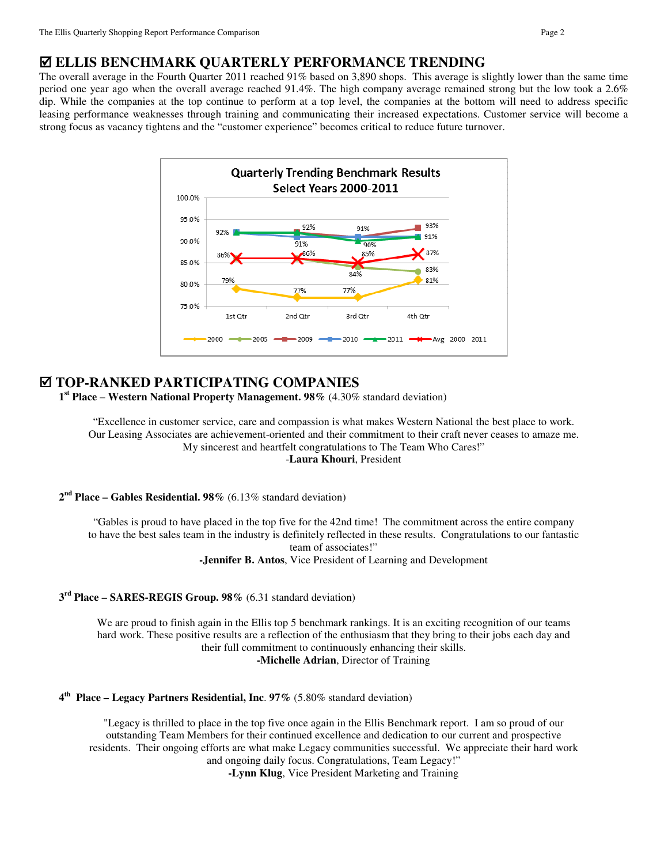## **ELLIS BENCHMARK QUARTERLY PERFORMANCE TRENDING**

The overall average in the Fourth Quarter 2011 reached 91% based on 3,890 shops.This average is slightly lower than the same time period one year ago when the overall average reached 91.4%. The high company average remained strong but the low took a 2.6% dip. While the companies at the top continue to perform at a top level, the companies at the bottom will need to address specific leasing performance weaknesses through training and communicating their increased expectations. Customer service will become a strong focus as vacancy tightens and the "customer experience" becomes critical to reduce future turnover.



## **TOP-RANKED PARTICIPATING COMPANIES**

**1 st Place** – **Western National Property Management. 98%** (4.30% standard deviation)

"Excellence in customer service, care and compassion is what makes Western National the best place to work. Our Leasing Associates are achievement-oriented and their commitment to their craft never ceases to amaze me. My sincerest and heartfelt congratulations to The Team Who Cares!"

-**Laura Khouri**, President

**2 nd Place – Gables Residential. 98%** (6.13% standard deviation)

"Gables is proud to have placed in the top five for the 42nd time! The commitment across the entire company to have the best sales team in the industry is definitely reflected in these results. Congratulations to our fantastic team of associates!" **-Jennifer B. Antos**, Vice President of Learning and Development

### **3 rd Place – SARES-REGIS Group. 98%** (6.31 standard deviation)

We are proud to finish again in the Ellis top 5 benchmark rankings. It is an exciting recognition of our teams hard work. These positive results are a reflection of the enthusiasm that they bring to their jobs each day and their full commitment to continuously enhancing their skills. **-Michelle Adrian**, Director of Training

**4 th Place – Legacy Partners Residential, Inc**. **97%** (5.80% standard deviation)

"Legacy is thrilled to place in the top five once again in the Ellis Benchmark report. I am so proud of our outstanding Team Members for their continued excellence and dedication to our current and prospective residents. Their ongoing efforts are what make Legacy communities successful. We appreciate their hard work and ongoing daily focus. Congratulations, Team Legacy!"

**-Lynn Klug**, Vice President Marketing and Training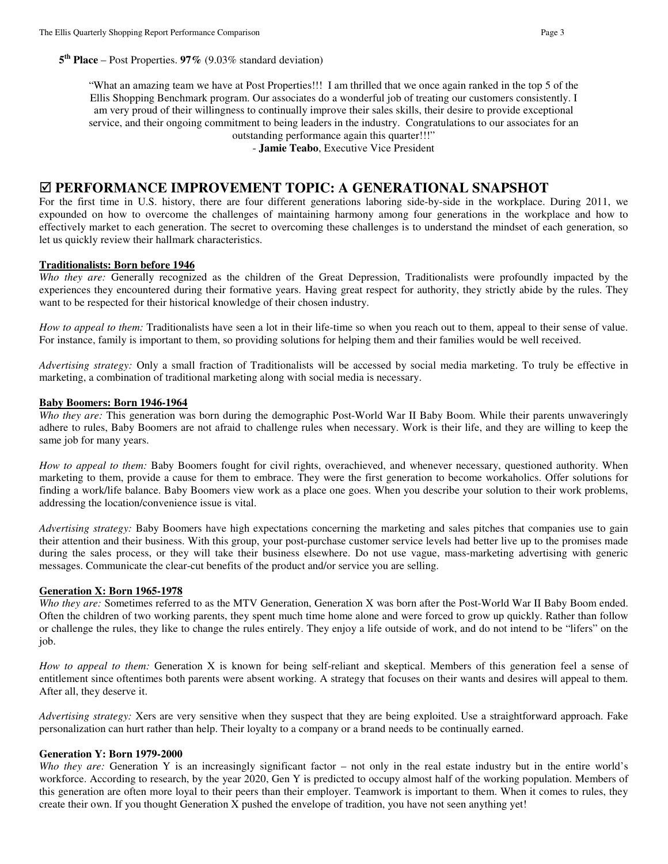"What an amazing team we have at Post Properties!!! I am thrilled that we once again ranked in the top 5 of the Ellis Shopping Benchmark program. Our associates do a wonderful job of treating our customers consistently. I am very proud of their willingness to continually improve their sales skills, their desire to provide exceptional service, and their ongoing commitment to being leaders in the industry. Congratulations to our associates for an outstanding performance again this quarter!!!"

- **Jamie Teabo**, Executive Vice President

## **PERFORMANCE IMPROVEMENT TOPIC: A GENERATIONAL SNAPSHOT**

For the first time in U.S. history, there are four different generations laboring side-by-side in the workplace. During 2011, we expounded on how to overcome the challenges of maintaining harmony among four generations in the workplace and how to effectively market to each generation. The secret to overcoming these challenges is to understand the mindset of each generation, so let us quickly review their hallmark characteristics.

### **Traditionalists: Born before 1946**

*Who they are:* Generally recognized as the children of the Great Depression, Traditionalists were profoundly impacted by the experiences they encountered during their formative years. Having great respect for authority, they strictly abide by the rules. They want to be respected for their historical knowledge of their chosen industry.

*How to appeal to them:* Traditionalists have seen a lot in their life-time so when you reach out to them, appeal to their sense of value. For instance, family is important to them, so providing solutions for helping them and their families would be well received.

*Advertising strategy:* Only a small fraction of Traditionalists will be accessed by social media marketing. To truly be effective in marketing, a combination of traditional marketing along with social media is necessary.

#### **Baby Boomers: Born 1946-1964**

*Who they are:* This generation was born during the demographic Post-World War II Baby Boom. While their parents unwaveringly adhere to rules, Baby Boomers are not afraid to challenge rules when necessary. Work is their life, and they are willing to keep the same job for many years.

*How to appeal to them:* Baby Boomers fought for civil rights, overachieved, and whenever necessary, questioned authority. When marketing to them, provide a cause for them to embrace. They were the first generation to become workaholics. Offer solutions for finding a work/life balance. Baby Boomers view work as a place one goes. When you describe your solution to their work problems, addressing the location/convenience issue is vital.

*Advertising strategy:* Baby Boomers have high expectations concerning the marketing and sales pitches that companies use to gain their attention and their business. With this group, your post-purchase customer service levels had better live up to the promises made during the sales process, or they will take their business elsewhere. Do not use vague, mass-marketing advertising with generic messages. Communicate the clear-cut benefits of the product and/or service you are selling.

#### **Generation X: Born 1965-1978**

*Who they are:* Sometimes referred to as the MTV Generation, Generation X was born after the Post-World War II Baby Boom ended. Often the children of two working parents, they spent much time home alone and were forced to grow up quickly. Rather than follow or challenge the rules, they like to change the rules entirely. They enjoy a life outside of work, and do not intend to be "lifers" on the job.

*How to appeal to them:* Generation X is known for being self-reliant and skeptical. Members of this generation feel a sense of entitlement since oftentimes both parents were absent working. A strategy that focuses on their wants and desires will appeal to them. After all, they deserve it.

*Advertising strategy:* Xers are very sensitive when they suspect that they are being exploited. Use a straightforward approach. Fake personalization can hurt rather than help. Their loyalty to a company or a brand needs to be continually earned.

#### **Generation Y: Born 1979-2000**

*Who they are:* Generation Y is an increasingly significant factor – not only in the real estate industry but in the entire world's workforce. According to research, by the year 2020, Gen Y is predicted to occupy almost half of the working population. Members of this generation are often more loyal to their peers than their employer. Teamwork is important to them. When it comes to rules, they create their own. If you thought Generation X pushed the envelope of tradition, you have not seen anything yet!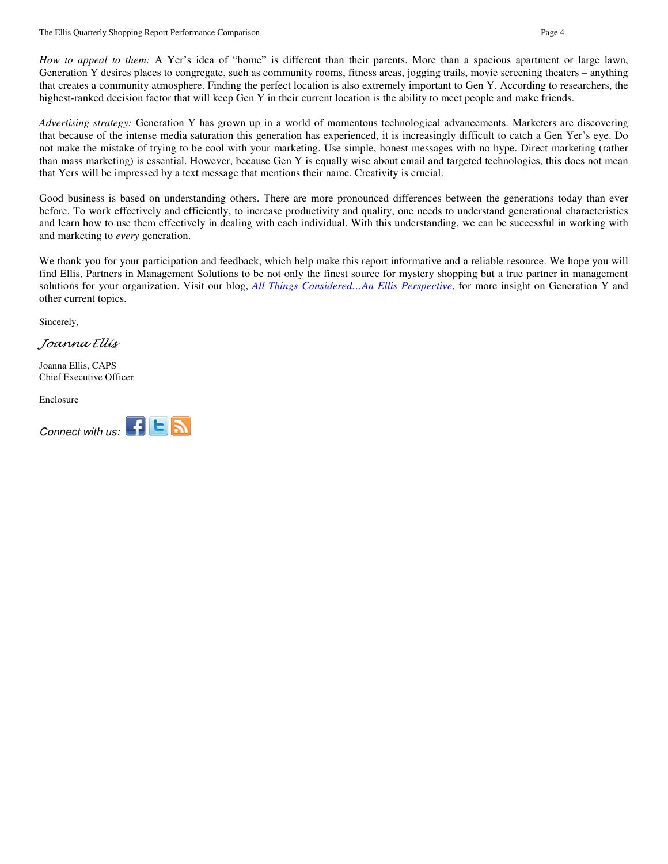*How to appeal to them:* A Yer's idea of "home" is different than their parents. More than a spacious apartment or large lawn, Generation Y desires places to congregate, such as community rooms, fitness areas, jogging trails, movie screening theaters – anything that creates a community atmosphere. Finding the perfect location is also extremely important to Gen Y. According to researchers, the highest-ranked decision factor that will keep Gen Y in their current location is the ability to meet people and make friends.

*Advertising strategy:* Generation Y has grown up in a world of momentous technological advancements. Marketers are discovering that because of the intense media saturation this generation has experienced, it is increasingly difficult to catch a Gen Yer's eye. Do not make the mistake of trying to be cool with your marketing. Use simple, honest messages with no hype. Direct marketing (rather than mass marketing) is essential. However, because Gen Y is equally wise about email and targeted technologies, this does not mean that Yers will be impressed by a text message that mentions their name. Creativity is crucial.

Good business is based on understanding others. There are more pronounced differences between the generations today than ever before. To work effectively and efficiently, to increase productivity and quality, one needs to understand generational characteristics and learn how to use them effectively in dealing with each individual. With this understanding, we can be successful in working with and marketing to *every* generation.

We thank you for your participation and feedback, which help make this report informative and a reliable resource. We hope you will find Ellis, Partners in Management Solutions to be not only the finest source for mystery shopping but a true partner in management solutions for your organization. Visit our blog, *All Things Considered…An Ellis Perspective*, for more insight on Generation Y and other current topics.

Sincerely,

Joanna Ellis

Joanna Ellis, CAPS Chief Executive Officer

Enclosure

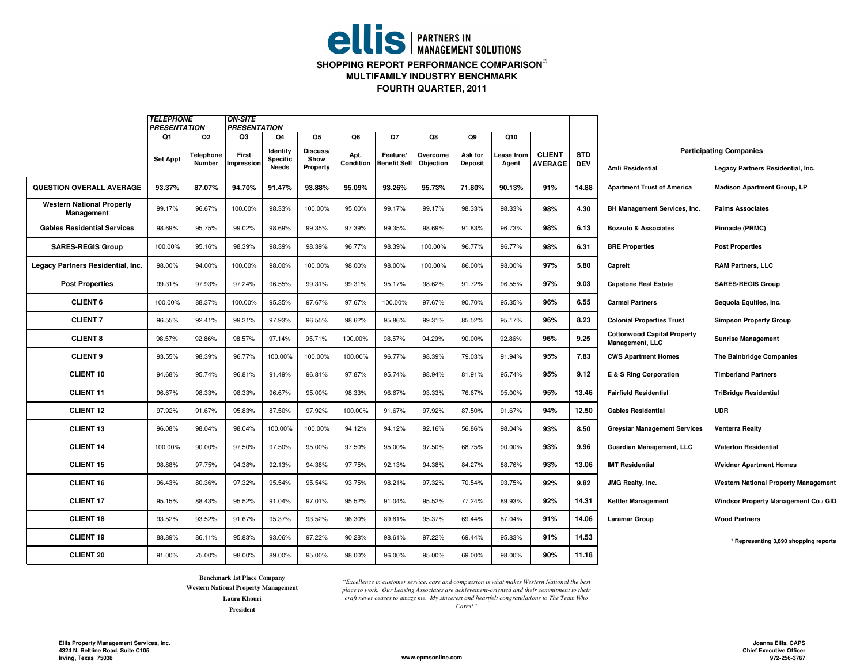# **ellis** | PARTNERS IN **SHOPPING REPORT PERFORMANCE COMPARISON**

**MULTIFAMILY INDUSTRY BENCHMARK**

**FOURTH QUARTER, 2011**

|                                                | <b>TELEPHONE</b><br><b>PRESENTATION</b> |                             | ON-SITE<br><b>PRESENTATION</b> |                            |                        |            |                     |                |                |                  |                |            |                                                       |                                             |
|------------------------------------------------|-----------------------------------------|-----------------------------|--------------------------------|----------------------------|------------------------|------------|---------------------|----------------|----------------|------------------|----------------|------------|-------------------------------------------------------|---------------------------------------------|
|                                                | Q1<br><b>Set Appt</b>                   | Q <sub>2</sub><br>Telephone | Q3<br>First                    | Q4<br>Identify<br>Specific | Q5<br>Discuss/<br>Show | Q6<br>Apt. | Q7<br>Feature/      | Q8<br>Overcome | Q9<br>Ask for  | Q10<br>ease from | <b>CLIENT</b>  | <b>STD</b> |                                                       | <b>Participating Companies</b>              |
|                                                |                                         | Number                      | mpression                      | <b>Needs</b>               | Property               | Condition  | <b>Benefit Sell</b> | Objection      | <b>Deposit</b> | Agent            | <b>AVERAGE</b> | <b>DEV</b> | <b>Amli Residential</b>                               | Legacy Partners Residential, Inc.           |
| <b>QUESTION OVERALL AVERAGE</b>                | 93.37%                                  | 87.07%                      | 94.70%                         | 91.47%                     | 93.88%                 | 95.09%     | 93.26%              | 95.73%         | 71.80%         | 90.13%           | 91%            | 14.88      | <b>Apartment Trust of America</b>                     | <b>Madison Apartment Group, LP</b>          |
| <b>Western National Property</b><br>Management | 99.17%                                  | 96.67%                      | 100.00%                        | 98.33%                     | 100.00%                | 95.00%     | 99.17%              | 99.17%         | 98.33%         | 98.33%           | 98%            | 4.30       | BH Management Services, Inc.                          | <b>Palms Associates</b>                     |
| <b>Gables Residential Services</b>             | 98.69%                                  | 95.75%                      | 99.02%                         | 98.69%                     | 99.35%                 | 97.39%     | 99.35%              | 98.69%         | 91.83%         | 96.73%           | 98%            | 6.13       | <b>Bozzuto &amp; Associates</b>                       | <b>Pinnacle (PRMC)</b>                      |
| <b>SARES-REGIS Group</b>                       | 100.00%                                 | 95.16%                      | 98.39%                         | 98.39%                     | 98.39%                 | 96.77%     | 98.39%              | 100.00%        | 96.77%         | 96.77%           | 98%            | 6.31       | <b>BRE Properties</b>                                 | <b>Post Properties</b>                      |
| Legacy Partners Residential, Inc.              | 98.00%                                  | 94.00%                      | 100.00%                        | 98.00%                     | 100.00%                | 98.00%     | 98.00%              | 100.00%        | 86.00%         | 98.00%           | 97%            | 5.80       | Capreit                                               | <b>RAM Partners, LLC</b>                    |
| <b>Post Properties</b>                         | 99.31%                                  | 97.93%                      | 97.24%                         | 96.55%                     | 99.31%                 | 99.31%     | 95.17%              | 98.62%         | 91.72%         | 96.55%           | 97%            | 9.03       | <b>Capstone Real Estate</b>                           | <b>SARES-REGIS Group</b>                    |
| <b>CLIENT 6</b>                                | 100.00%                                 | 88.37%                      | 100.00%                        | 95.35%                     | 97.67%                 | 97.67%     | 100.00%             | 97.67%         | 90.70%         | 95.35%           | 96%            | 6.55       | <b>Carmel Partners</b>                                | Sequoia Equities, Inc.                      |
| <b>CLIENT 7</b>                                | 96.55%                                  | 92.41%                      | 99.31%                         | 97.93%                     | 96.55%                 | 98.62%     | 95.86%              | 99.31%         | 85.52%         | 95.17%           | 96%            | 8.23       | <b>Colonial Properties Trust</b>                      | <b>Simpson Property Group</b>               |
| <b>CLIENT 8</b>                                | 98.57%                                  | 92.86%                      | 98.57%                         | 97.14%                     | 95.71%                 | 100.00%    | 98.57%              | 94.29%         | 90.00%         | 92.86%           | 96%            | 9.25       | <b>Cottonwood Capital Property</b><br>Management, LLC | <b>Sunrise Management</b>                   |
| <b>CLIENT 9</b>                                | 93.55%                                  | 98.39%                      | 96.77%                         | 100.00%                    | 100.00%                | 100.00%    | 96.77%              | 98.39%         | 79.03%         | 91.94%           | 95%            | 7.83       | <b>CWS Apartment Homes</b>                            | <b>The Bainbridge Companies</b>             |
| <b>CLIENT 10</b>                               | 94.68%                                  | 95.74%                      | 96.81%                         | 91.49%                     | 96.81%                 | 97.87%     | 95.74%              | 98.94%         | 81.91%         | 95.74%           | 95%            | 9.12       | E & S Ring Corporation                                | <b>Timberland Partners</b>                  |
| <b>CLIENT 11</b>                               | 96.67%                                  | 98.33%                      | 98.33%                         | 96.67%                     | 95.00%                 | 98.33%     | 96.67%              | 93.33%         | 76.67%         | 95.00%           | 95%            | 13.46      | <b>Fairfield Residential</b>                          | <b>TriBridge Residential</b>                |
| <b>CLIENT 12</b>                               | 97.92%                                  | 91.67%                      | 95.83%                         | 87.50%                     | 97.92%                 | 100.00%    | 91.67%              | 97.92%         | 87.50%         | 91.67%           | 94%            | 12.50      | <b>Gables Residential</b>                             | <b>UDR</b>                                  |
| <b>CLIENT 13</b>                               | 96.08%                                  | 98.04%                      | 98.04%                         | 100.00%                    | 100.00%                | 94.12%     | 94.12%              | 92.16%         | 56.86%         | 98.04%           | 93%            | 8.50       | <b>Greystar Management Services</b>                   | <b>Venterra Realty</b>                      |
| <b>CLIENT 14</b>                               | 100.00%                                 | 90.00%                      | 97.50%                         | 97.50%                     | 95.00%                 | 97.50%     | 95.00%              | 97.50%         | 68.75%         | 90.00%           | 93%            | 9.96       | <b>Guardian Management, LLC</b>                       | <b>Waterton Residential</b>                 |
| <b>CLIENT 15</b>                               | 98.88%                                  | 97.75%                      | 94.38%                         | 92.13%                     | 94.38%                 | 97.75%     | 92.13%              | 94.38%         | 84.27%         | 88.76%           | 93%            | 13.06      | <b>IMT Residential</b>                                | <b>Weidner Apartment Homes</b>              |
| <b>CLIENT 16</b>                               | 96.43%                                  | 80.36%                      | 97.32%                         | 95.54%                     | 95.54%                 | 93.75%     | 98.21%              | 97.32%         | 70.54%         | 93.75%           | 92%            | 9.82       | JMG Realty, Inc.                                      | <b>Western National Property Management</b> |
| <b>CLIENT 17</b>                               | 95.15%                                  | 88.43%                      | 95.52%                         | 91.04%                     | 97.01%                 | 95.52%     | 91.04%              | 95.52%         | 77.24%         | 89.93%           | 92%            | 14.31      | <b>Kettler Management</b>                             | Windsor Property Management Co / GID        |
| <b>CLIENT 18</b>                               | 93.52%                                  | 93.52%                      | 91.67%                         | 95.37%                     | 93.52%                 | 96.30%     | 89.81%              | 95.37%         | 69.44%         | 87.04%           | 91%            | 14.06      | <b>Laramar Group</b>                                  | <b>Wood Partners</b>                        |
| <b>CLIENT 19</b>                               | 88.89%                                  | 86.11%                      | 95.83%                         | 93.06%                     | 97.22%                 | 90.28%     | 98.61%              | 97.22%         | 69.44%         | 95.83%           | 91%            | 14.53      |                                                       | * Representing 3,890 shopping reports       |
| <b>CLIENT 20</b>                               | 91.00%                                  | 75.00%                      | 98.00%                         | 89.00%                     | 95.00%                 | 98.00%     | 96.00%              | 95.00%         | 69.00%         | 98.00%           | 90%            | 11.18      |                                                       |                                             |

**Benchmark 1st Place Company**

**PresidentWestern National Property Management Laura Khouri**

*"Excellence in customer service, care and compassion is what makes Western National the best place to work. Our Leasing Associates are achievement-oriented and their commitment to their craft never ceases to amaze me. My sincerest and heartfelt congratulations to The Team Who Cares!"* 

**Ellis Property Management Services, Inc. 4324 N. Beltline Road, Suite C105Irving, Texas 75038**

**www.epmsonline.com**